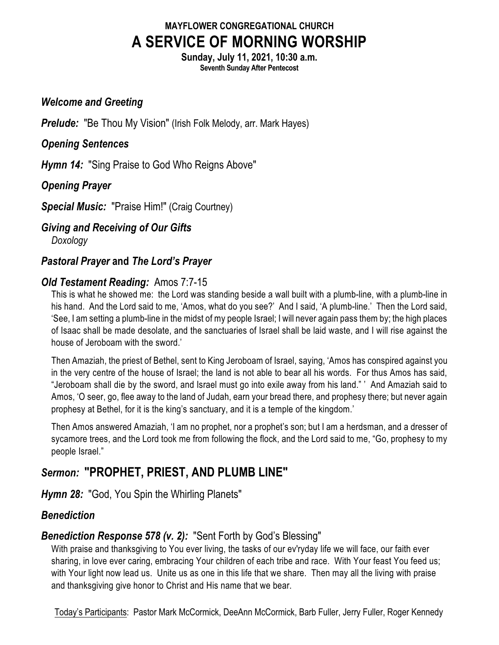## **MAYFLOWER CONGREGATIONAL CHURCH A SERVICE OF MORNING WORSHIP**

**Sunday, July 11, 2021, 10:30 a.m. Seventh Sunday After Pentecost**

### *Welcome and Greeting*

**Prelude:** "Be Thou My Vision" (Irish Folk Melody, arr. Mark Hayes)

### *Opening Sentences*

*Hymn 14:* "Sing Praise to God Who Reigns Above"

## *Opening Prayer*

*Special Music:* "Praise Him!" (Craig Courtney)

# *Giving and Receiving of Our Gifts*

*Doxology*

## *Pastoral Prayer* **and** *The Lord's Prayer*

## *Old Testament Reading:* Amos 7:7-15

This is what he showed me: the Lord was standing beside a wall built with a plumb-line, with a plumb-line in his hand. And the Lord said to me, 'Amos, what do you see?' And I said, 'A plumb-line.' Then the Lord said, 'See, I am setting a plumb-line in the midst of my people Israel; I will never again pass them by; the high places of Isaac shall be made desolate, and the sanctuaries of Israel shall be laid waste, and I will rise against the house of Jeroboam with the sword.'

Then Amaziah, the priest of Bethel, sent to King Jeroboam of Israel, saying, 'Amos has conspired against you in the very centre of the house of Israel; the land is not able to bear all his words. For thus Amos has said, "Jeroboam shall die by the sword, and Israel must go into exile away from his land." ' And Amaziah said to Amos, 'O seer, go, flee away to the land of Judah, earn your bread there, and prophesy there; but never again prophesy at Bethel, for it is the king's sanctuary, and it is a temple of the kingdom.'

Then Amos answered Amaziah, 'I am no prophet, nor a prophet's son; but I am a herdsman, and a dresser of sycamore trees, and the Lord took me from following the flock, and the Lord said to me, "Go, prophesy to my people Israel."

## *Sermon:* **"PROPHET, PRIEST, AND PLUMB LINE"**

## *Hymn 28:* "God, You Spin the Whirling Planets"

## *Benediction*

## *Benediction Response 578 (v. 2):* "Sent Forth by God's Blessing"

With praise and thanksgiving to You ever living, the tasks of our ev'ryday life we will face, our faith ever sharing, in love ever caring, embracing Your children of each tribe and race. With Your feast You feed us; with Your light now lead us. Unite us as one in this life that we share. Then may all the living with praise and thanksgiving give honor to Christ and His name that we bear.

Today's Participants: Pastor Mark McCormick, DeeAnn McCormick, Barb Fuller, Jerry Fuller, Roger Kennedy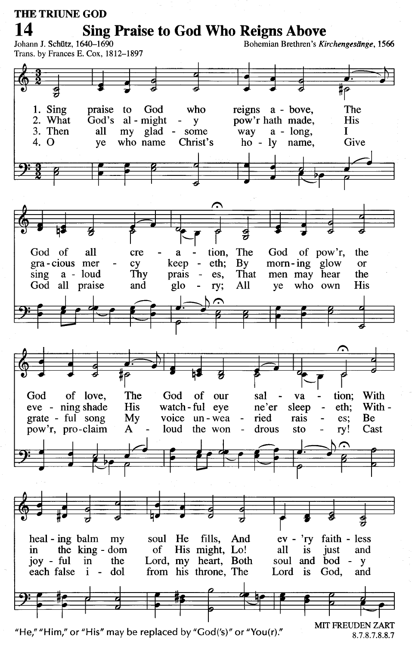#### **THE TRIUNE GOD Sing Praise to God Who Reigns Above** Bohemian Brethren's Kirchengesänge, 1566 Johann J. Schütz, 1640-1690 Trans. by Frances E. Cox, 1812-1897 1. Sing praise to God who The reigns a - bove. God's al - might 2. What **His** pow'r hath made, y 3. Then my glad -L all some way  $a - long$ , 4. O who name Christ's ho - ly name, Give ve ⌒ The God God of all cre tion, of pow'r, the a gra-cious mer glow cy keep eth;  $\mathbf{B} \mathbf{y}$ morn-ing  $\alpha$ Thy sing a - loud prais  $\overline{a}$ es. That men may hear the God all praise glo All who own His and ry; ye The God of love, God of our sal va tion; With eve - ning shade watch-ful eye With -**His**  $ne'er$ sleep eth: voice un-wea Be grate - ful song My ried rais es: pow'r, pro-claim  $\mathbf{A}$ loud the won drous sto ry! Cast  $\overline{a}$  $ev - 'ry$ heal - ing balm my soul He fills, And faith - less His might, Lo! the king - dom  $of$ all *is* and in just joy -  $\text{ful}$  $in$ the Lord, my heart, Both soul and bod - $\mathbf{y}$ each false from his throne, The  $\mathbf{i}$ dol Lord is God,  $\overline{\phantom{a}}$ and

"He," "Him," or "His" may be replaced by "God('s)" or "You(r)."

**MIT FREUDEN ZART** 8.7.8.7.8.8.7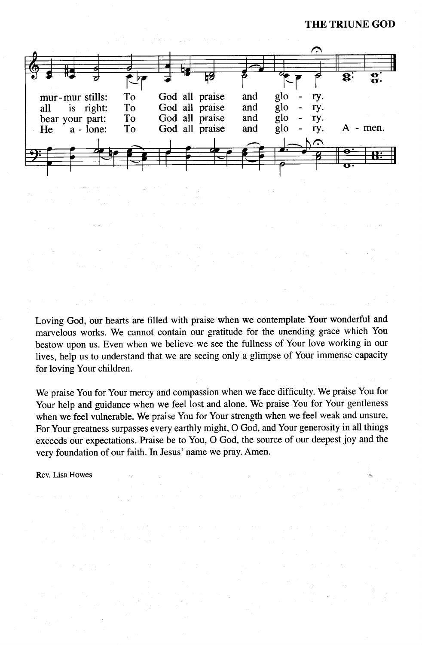**THE TRIUNE GOD** 



Loving God, our hearts are filled with praise when we contemplate Your wonderful and marvelous works. We cannot contain our gratitude for the unending grace which You bestow upon us. Even when we believe we see the fullness of Your love working in our lives, help us to understand that we are seeing only a glimpse of Your immense capacity for loving Your children.

We praise You for Your mercy and compassion when we face difficulty. We praise You for Your help and guidance when we feel lost and alone. We praise You for Your gentleness when we feel vulnerable. We praise You for Your strength when we feel weak and unsure. For Your greatness surpasses every earthly might, O God, and Your generosity in all things exceeds our expectations. Praise be to You, O God, the source of our deepest joy and the very foundation of our faith. In Jesus' name we pray. Amen.

Rev. Lisa Howes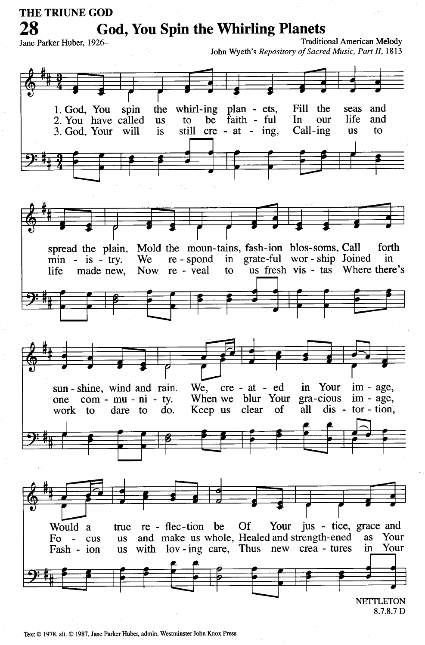#### THE TRIUNE GOD **God, You Spin the Whirling Planets Traditional American Melody** Jane Parker Huber, 1926-John Wyeth's Repository of Sacred Music, Part II, 1813 whirl-ing plan - ets, Fill the and 1. God, You spin the seas 2. You have called be faith - ful In our life and **us** to 3. God, Your still  $cre - at - ing$ , Call-ing to will is **us** Mold the moun-tains, fash-ion blos-soms, Call spread the plain, forth  $min$  - is - try. We re - spond  $in$ grate-ful wor - ship Joined in re - veal us fresh vis - tas Where there's made new, **Now** to life



Text © 1978, alt. © 1987, Jane Parker Huber, admin. Westminster John Knox Press